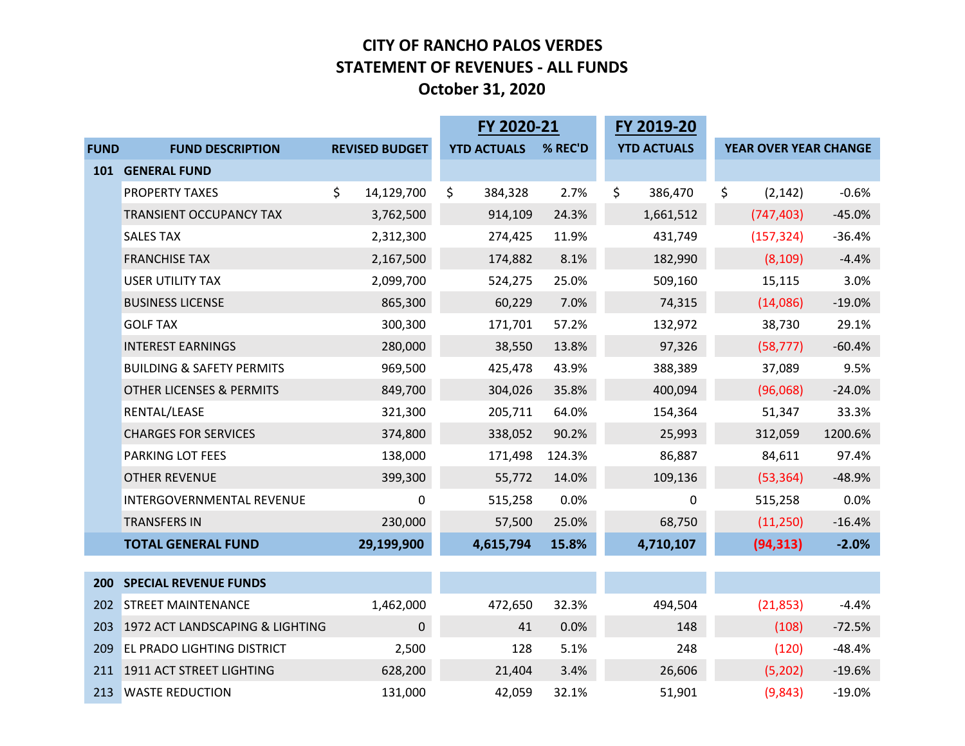#### **CITY OF RANCHO PALOS VERDE S STATEMENT OF REVENUES ‐ ALL FUNDS October 31, 2020**

|             |                                      |                       |                    | FY 2020-21 |                    |                       |          |
|-------------|--------------------------------------|-----------------------|--------------------|------------|--------------------|-----------------------|----------|
| <b>FUND</b> | <b>FUND DESCRIPTION</b>              | <b>REVISED BUDGET</b> | <b>YTD ACTUALS</b> | % REC'D    | <b>YTD ACTUALS</b> | YEAR OVER YEAR CHANGE |          |
|             | 101 GENERAL FUND                     |                       |                    |            |                    |                       |          |
|             | PROPERTY TAXES                       | \$.<br>14,129,700     | \$<br>384,328      | 2.7%       | \$<br>386,470      | \$<br>(2, 142)        | $-0.6%$  |
|             | TRANSIENT OCCUPANCY TAX              | 3,762,500             | 914,109            | 24.3%      | 1,661,512          | (747, 403)            | $-45.0%$ |
|             | <b>SALES TAX</b>                     | 2,312,300             | 274,425            | 11.9%      | 431,749            | (157, 324)            | $-36.4%$ |
|             | <b>FRANCHISE TAX</b>                 | 2,167,500             | 174,882            | 8.1%       | 182,990            | (8, 109)              | $-4.4%$  |
|             | <b>USER UTILITY TAX</b>              | 2,099,700             | 524,275            | 25.0%      | 509,160            | 15,115                | 3.0%     |
|             | <b>BUSINESS LICENSE</b>              | 865,300               | 60,229             | 7.0%       | 74,315             | (14,086)              | $-19.0%$ |
|             | <b>GOLF TAX</b>                      | 300,300               | 171,701            | 57.2%      | 132,972            | 38,730                | 29.1%    |
|             | <b>INTEREST EARNINGS</b>             | 280,000               | 38,550             | 13.8%      | 97,326             | (58, 777)             | $-60.4%$ |
|             | <b>BUILDING &amp; SAFETY PERMITS</b> | 969,500               | 425,478            | 43.9%      | 388,389            | 37,089                | 9.5%     |
|             | <b>OTHER LICENSES &amp; PERMITS</b>  | 849,700               | 304,026            | 35.8%      | 400,094            | (96,068)              | $-24.0%$ |
|             | RENTAL/LEASE                         | 321,300               | 205,711            | 64.0%      | 154,364            | 51,347                | 33.3%    |
|             | <b>CHARGES FOR SERVICES</b>          | 374,800               | 338,052            | 90.2%      | 25,993             | 312,059               | 1200.6%  |
|             | PARKING LOT FEES                     | 138,000               | 171,498            | 124.3%     | 86,887             | 84,611                | 97.4%    |
|             | <b>OTHER REVENUE</b>                 | 399,300               | 55,772             | 14.0%      | 109,136            | (53, 364)             | $-48.9%$ |
|             | INTERGOVERNMENTAL REVENUE            | <sup>0</sup>          | 515,258            | 0.0%       | 0                  | 515,258               | 0.0%     |
|             | <b>TRANSFERS IN</b>                  | 230,000               | 57,500             | 25.0%      | 68,750             | (11,250)              | $-16.4%$ |
|             | <b>TOTAL GENERAL FUND</b>            | 29,199,900            | 4,615,794          | 15.8%      | 4,710,107          | (94, 313)             | $-2.0%$  |
|             |                                      |                       |                    |            |                    |                       |          |
| 200         | <b>SPECIAL REVENUE FUNDS</b>         |                       |                    |            |                    |                       |          |
| 202         | <b>STREET MAINTENANCE</b>            | 1,462,000             | 472,650            | 32.3%      | 494,504            | (21, 853)             | $-4.4%$  |
| 203         | 1972 ACT LANDSCAPING & LIGHTING      | $\mathbf 0$           | 41                 | 0.0%       | 148                | (108)                 | $-72.5%$ |
| 209         | <b>EL PRADO LIGHTING DISTRICT</b>    | 2,500                 | 128                | 5.1%       | 248                | (120)                 | $-48.4%$ |
|             | 211 1911 ACT STREET LIGHTING         | 628,200               | 21,404             | 3.4%       | 26,606             | (5,202)               | $-19.6%$ |
|             | 213 WASTE REDUCTION                  | 131,000               | 42,059             | 32.1%      | 51,901             | (9,843)               | $-19.0%$ |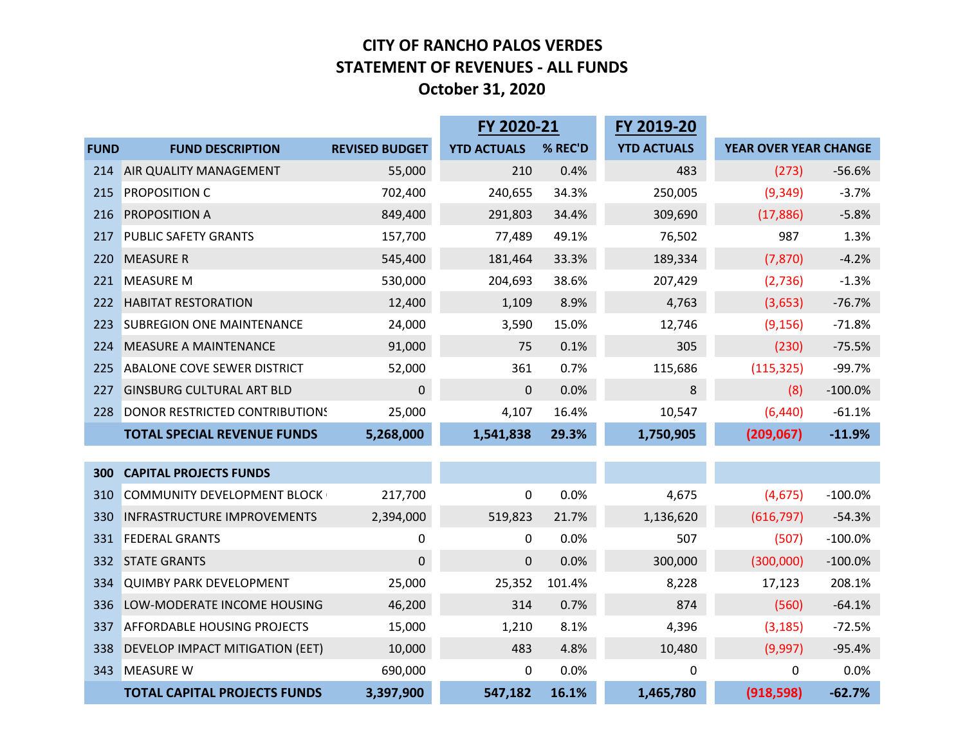#### **CITY OF RANCHO PALOS VERDE S STATEMENT OF REVENUES ‐ ALL FUNDS October 31, 2020**

|             | FY 2020-21                          |                       |                    |         | FY 2019-20         |                       |           |
|-------------|-------------------------------------|-----------------------|--------------------|---------|--------------------|-----------------------|-----------|
| <b>FUND</b> | <b>FUND DESCRIPTION</b>             | <b>REVISED BUDGET</b> | <b>YTD ACTUALS</b> | % REC'D | <b>YTD ACTUALS</b> | YEAR OVER YEAR CHANGE |           |
| 214         | AIR QUALITY MANAGEMENT              | 55,000                | 210                | 0.4%    | 483                | (273)                 | $-56.6%$  |
| 215         | PROPOSITION C                       | 702,400               | 240,655            | 34.3%   | 250,005            | (9, 349)              | $-3.7%$   |
| 216         | PROPOSITION A                       | 849,400               | 291,803            | 34.4%   | 309,690            | (17, 886)             | $-5.8%$   |
| 217         | <b>PUBLIC SAFETY GRANTS</b>         | 157,700               | 77,489             | 49.1%   | 76,502             | 987                   | 1.3%      |
| 220         | <b>MEASURE R</b>                    | 545,400               | 181,464            | 33.3%   | 189,334            | (7, 870)              | $-4.2%$   |
| 221         | <b>MEASURE M</b>                    | 530,000               | 204,693            | 38.6%   | 207,429            | (2,736)               | $-1.3%$   |
| 222         | <b>HABITAT RESTORATION</b>          | 12,400                | 1,109              | 8.9%    | 4,763              | (3,653)               | $-76.7%$  |
| 223         | <b>SUBREGION ONE MAINTENANCE</b>    | 24,000                | 3,590              | 15.0%   | 12,746             | (9, 156)              | $-71.8%$  |
| 224         | <b>MEASURE A MAINTENANCE</b>        | 91,000                | 75                 | 0.1%    | 305                | (230)                 | $-75.5%$  |
| 225         | <b>ABALONE COVE SEWER DISTRICT</b>  | 52,000                | 361                | 0.7%    | 115,686            | (115, 325)            | $-99.7%$  |
| 227         | <b>GINSBURG CULTURAL ART BLD</b>    | $\boldsymbol{0}$      | 0                  | 0.0%    | 8                  | (8)                   | $-100.0%$ |
| 228         | DONOR RESTRICTED CONTRIBUTIONS      | 25,000                | 4,107              | 16.4%   | 10,547             | (6, 440)              | $-61.1%$  |
|             | <b>TOTAL SPECIAL REVENUE FUNDS</b>  | 5,268,000             | 1,541,838          | 29.3%   | 1,750,905          | (209, 067)            | $-11.9%$  |
|             |                                     |                       |                    |         |                    |                       |           |
| 300         | <b>CAPITAL PROJECTS FUNDS</b>       |                       |                    |         |                    |                       |           |
| 310         | <b>COMMUNITY DEVELOPMENT BLOCK</b>  | 217,700               | 0                  | 0.0%    | 4,675              | (4,675)               | $-100.0%$ |
| 330         | <b>INFRASTRUCTURE IMPROVEMENTS</b>  | 2,394,000             | 519,823            | 21.7%   | 1,136,620          | (616, 797)            | $-54.3%$  |
| 331         | <b>FEDERAL GRANTS</b>               | 0                     | 0                  | 0.0%    | 507                | (507)                 | $-100.0%$ |
| 332         | <b>STATE GRANTS</b>                 | $\Omega$              | $\mathbf 0$        | 0.0%    | 300,000            | (300,000)             | $-100.0%$ |
| 334         | <b>QUIMBY PARK DEVELOPMENT</b>      | 25,000                | 25,352             | 101.4%  | 8,228              | 17,123                | 208.1%    |
| 336         | LOW-MODERATE INCOME HOUSING         | 46,200                | 314                | 0.7%    | 874                | (560)                 | $-64.1%$  |
| 337         | <b>AFFORDABLE HOUSING PROJECTS</b>  | 15,000                | 1,210              | 8.1%    | 4,396              | (3, 185)              | $-72.5%$  |
| 338         | DEVELOP IMPACT MITIGATION (EET)     | 10,000                | 483                | 4.8%    | 10,480             | (9,997)               | $-95.4%$  |
| 343         | <b>MEASURE W</b>                    | 690,000               | 0                  | 0.0%    | 0                  | 0                     | 0.0%      |
|             | <b>TOTAL CAPITAL PROJECTS FUNDS</b> | 3,397,900             | 547,182            | 16.1%   | 1,465,780          | (918, 598)            | $-62.7%$  |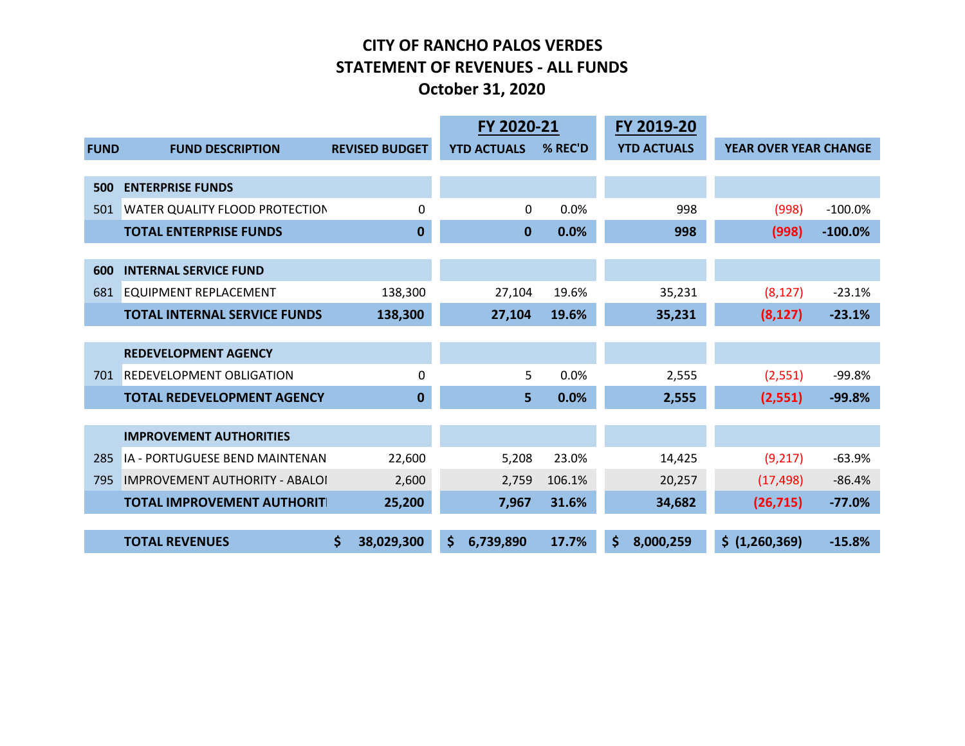#### **CITY OF RANCHO PALOS VERDE S STATEMENT OF REVENUES ‐ ALL FUNDS October 31, 2020**

|             |                                       |                       | FY 2020-21         |         | FY 2019-20         |                              |            |
|-------------|---------------------------------------|-----------------------|--------------------|---------|--------------------|------------------------------|------------|
| <b>FUND</b> | <b>FUND DESCRIPTION</b>               | <b>REVISED BUDGET</b> | <b>YTD ACTUALS</b> | % REC'D | <b>YTD ACTUALS</b> | <b>YEAR OVER YEAR CHANGE</b> |            |
|             |                                       |                       |                    |         |                    |                              |            |
| 500         | <b>ENTERPRISE FUNDS</b>               |                       |                    |         |                    |                              |            |
| 501         | WATER QUALITY FLOOD PROTECTION        | 0                     | 0                  | 0.0%    | 998                | (998)                        | $-100.0%$  |
|             | <b>TOTAL ENTERPRISE FUNDS</b>         | $\bf{0}$              | 0                  | 0.0%    | 998                | (998)                        | $-100.0\%$ |
| 600         | <b>INTERNAL SERVICE FUND</b>          |                       |                    |         |                    |                              |            |
| 681         | EQUIPMENT REPLACEMENT                 | 138,300               | 27,104             | 19.6%   | 35,231             | (8, 127)                     | $-23.1%$   |
|             | <b>TOTAL INTERNAL SERVICE FUNDS</b>   | 138,300               | 27,104             | 19.6%   | 35,231             | (8, 127)                     | $-23.1%$   |
|             |                                       |                       |                    |         |                    |                              |            |
|             | <b>REDEVELOPMENT AGENCY</b>           |                       |                    |         |                    |                              |            |
| 701         | REDEVELOPMENT OBLIGATION              | 0                     | 5                  | 0.0%    | 2,555              | (2, 551)                     | $-99.8%$   |
|             | <b>TOTAL REDEVELOPMENT AGENCY</b>     | $\bf{0}$              | 5                  | 0.0%    | 2,555              | (2, 551)                     | $-99.8%$   |
|             |                                       |                       |                    |         |                    |                              |            |
|             | <b>IMPROVEMENT AUTHORITIES</b>        |                       |                    |         |                    |                              |            |
| 285         | IA - PORTUGUESE BEND MAINTENAN        | 22,600                | 5,208              | 23.0%   | 14,425             | (9,217)                      | $-63.9%$   |
| 795         | <b>IMPROVEMENT AUTHORITY - ABALOI</b> | 2,600                 | 2,759              | 106.1%  | 20,257             | (17, 498)                    | $-86.4%$   |
|             | <b>TOTAL IMPROVEMENT AUTHORIT</b>     | 25,200                | 7,967              | 31.6%   | 34,682             | (26, 715)                    | $-77.0%$   |
|             |                                       |                       |                    |         |                    |                              |            |
|             | <b>TOTAL REVENUES</b>                 | \$<br>38,029,300      | \$<br>6,739,890    | 17.7%   | \$.<br>8,000,259   | \$ (1,260,369)               | $-15.8%$   |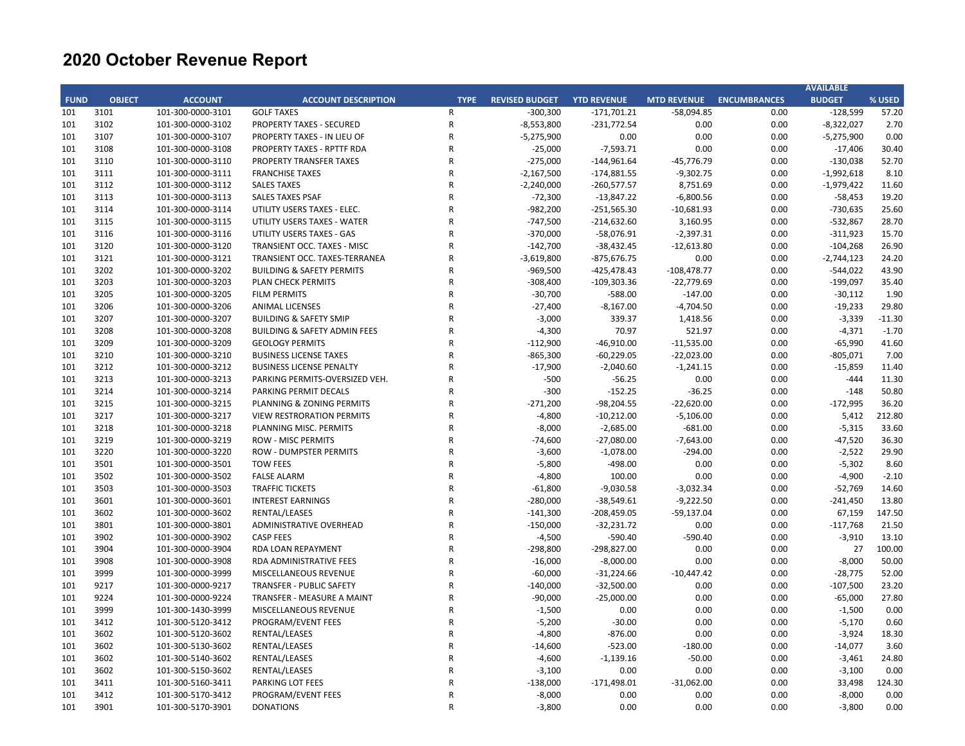|             |               |                   |                                      |             |                       |                    |                    |                     | <b>AVAILABLE</b> |          |
|-------------|---------------|-------------------|--------------------------------------|-------------|-----------------------|--------------------|--------------------|---------------------|------------------|----------|
| <b>FUND</b> | <b>OBJECT</b> | <b>ACCOUNT</b>    | <b>ACCOUNT DESCRIPTION</b>           | <b>TYPE</b> | <b>REVISED BUDGET</b> | <b>YTD REVENUE</b> | <b>MTD REVENUE</b> | <b>ENCUMBRANCES</b> | <b>BUDGET</b>    | % USED   |
| 101         | 3101          | 101-300-0000-3101 | <b>GOLF TAXES</b>                    | R           | $-300,300$            | $-171,701.21$      | $-58,094.85$       | 0.00                | $-128,599$       | 57.20    |
| 101         | 3102          | 101-300-0000-3102 | <b>PROPERTY TAXES - SECURED</b>      | R           | $-8,553,800$          | $-231,772.54$      | 0.00               | 0.00                | $-8,322,027$     | 2.70     |
| 101         | 3107          | 101-300-0000-3107 | PROPERTY TAXES - IN LIEU OF          | $\mathsf R$ | $-5,275,900$          | 0.00               | 0.00               | 0.00                | $-5,275,900$     | 0.00     |
| 101         | 3108          | 101-300-0000-3108 | PROPERTY TAXES - RPTTF RDA           | R           | $-25,000$             | $-7,593.71$        | 0.00               | 0.00                | $-17,406$        | 30.40    |
| 101         | 3110          | 101-300-0000-3110 | <b>PROPERTY TRANSFER TAXES</b>       | R           | $-275,000$            | $-144,961.64$      | -45,776.79         | 0.00                | $-130,038$       | 52.70    |
| 101         | 3111          | 101-300-0000-3111 | <b>FRANCHISE TAXES</b>               | R           | $-2,167,500$          | $-174,881.55$      | $-9,302.75$        | 0.00                | $-1,992,618$     | 8.10     |
| 101         | 3112          | 101-300-0000-3112 | <b>SALES TAXES</b>                   | R           | $-2,240,000$          | $-260,577.57$      | 8,751.69           | 0.00                | $-1,979,422$     | 11.60    |
| 101         | 3113          | 101-300-0000-3113 | <b>SALES TAXES PSAF</b>              | R           | $-72,300$             | $-13,847.22$       | $-6,800.56$        | 0.00                | $-58,453$        | 19.20    |
| 101         | 3114          | 101-300-0000-3114 | UTILITY USERS TAXES - ELEC.          | R           | $-982,200$            | $-251,565.30$      | $-10,681.93$       | 0.00                | $-730,635$       | 25.60    |
| 101         | 3115          | 101-300-0000-3115 | UTILITY USERS TAXES - WATER          | R           | $-747,500$            | $-214,632.60$      | 3,160.95           | 0.00                | $-532,867$       | 28.70    |
| 101         | 3116          | 101-300-0000-3116 | UTILITY USERS TAXES - GAS            | R           | $-370,000$            | $-58,076.91$       | $-2,397.31$        | 0.00                | $-311,923$       | 15.70    |
| 101         | 3120          | 101-300-0000-3120 | TRANSIENT OCC. TAXES - MISC          | R           | $-142,700$            | $-38,432.45$       | $-12,613.80$       | 0.00                | $-104,268$       | 26.90    |
| 101         | 3121          | 101-300-0000-3121 | TRANSIENT OCC. TAXES-TERRANEA        | R           | $-3,619,800$          | $-875,676.75$      | 0.00               | 0.00                | $-2,744,123$     | 24.20    |
| 101         | 3202          | 101-300-0000-3202 | <b>BUILDING &amp; SAFETY PERMITS</b> | R           | $-969,500$            | $-425,478.43$      | $-108,478.77$      | 0.00                | $-544,022$       | 43.90    |
| 101         | 3203          | 101-300-0000-3203 | PLAN CHECK PERMITS                   | R           | $-308,400$            | $-109,303.36$      | $-22,779.69$       | 0.00                | $-199,097$       | 35.40    |
| 101         | 3205          | 101-300-0000-3205 | <b>FILM PERMITS</b>                  | R           | $-30,700$             | $-588.00$          | $-147.00$          | 0.00                | $-30,112$        | 1.90     |
| 101         | 3206          | 101-300-0000-3206 | <b>ANIMAL LICENSES</b>               | R           | $-27,400$             | $-8,167.00$        | $-4,704.50$        | 0.00                | $-19,233$        | 29.80    |
| 101         | 3207          | 101-300-0000-3207 | <b>BUILDING &amp; SAFETY SMIP</b>    | R           | $-3,000$              | 339.37             | 1,418.56           | 0.00                | $-3,339$         | $-11.30$ |
| 101         | 3208          | 101-300-0000-3208 | BUILDING & SAFETY ADMIN FEES         | R           | $-4,300$              | 70.97              | 521.97             | 0.00                | $-4,371$         | $-1.70$  |
| 101         | 3209          | 101-300-0000-3209 | <b>GEOLOGY PERMITS</b>               | R           | $-112,900$            | $-46,910.00$       | $-11,535.00$       | 0.00                | $-65,990$        | 41.60    |
| 101         | 3210          | 101-300-0000-3210 | <b>BUSINESS LICENSE TAXES</b>        | R           | $-865,300$            | $-60,229.05$       | $-22,023.00$       | 0.00                | $-805,071$       | 7.00     |
| 101         | 3212          | 101-300-0000-3212 | <b>BUSINESS LICENSE PENALTY</b>      | R           | $-17,900$             | $-2,040.60$        | $-1,241.15$        | 0.00                | $-15,859$        | 11.40    |
| 101         | 3213          | 101-300-0000-3213 | PARKING PERMITS-OVERSIZED VEH.       | R           | -500                  | $-56.25$           | 0.00               | 0.00                | $-444$           | 11.30    |
| 101         | 3214          | 101-300-0000-3214 | PARKING PERMIT DECALS                | R           | $-300$                | $-152.25$          | $-36.25$           | 0.00                | $-148$           | 50.80    |
| 101         | 3215          | 101-300-0000-3215 | PLANNING & ZONING PERMITS            | R           | $-271,200$            | $-98,204.55$       | $-22,620.00$       | 0.00                | $-172,995$       | 36.20    |
| 101         | 3217          | 101-300-0000-3217 | <b>VIEW RESTRORATION PERMITS</b>     | R           | $-4,800$              | $-10,212.00$       | $-5,106.00$        | 0.00                | 5,412            | 212.80   |
| 101         | 3218          | 101-300-0000-3218 | PLANNING MISC. PERMITS               | R           | $-8,000$              | $-2,685.00$        | $-681.00$          | 0.00                | $-5,315$         | 33.60    |
| 101         | 3219          | 101-300-0000-3219 | <b>ROW - MISC PERMITS</b>            | R           | -74,600               | $-27,080.00$       | $-7,643.00$        | 0.00                | -47,520          | 36.30    |
| 101         | 3220          | 101-300-0000-3220 | <b>ROW - DUMPSTER PERMITS</b>        | R           | $-3,600$              | $-1,078.00$        | $-294.00$          | 0.00                | $-2,522$         | 29.90    |
| 101         | 3501          | 101-300-0000-3501 | <b>TOW FEES</b>                      | R           | $-5,800$              | $-498.00$          | 0.00               | 0.00                | $-5,302$         | 8.60     |
| 101         | 3502          | 101-300-0000-3502 | <b>FALSE ALARM</b>                   | R           | $-4,800$              | 100.00             | 0.00               | 0.00                | $-4,900$         | $-2.10$  |
| 101         | 3503          | 101-300-0000-3503 | <b>TRAFFIC TICKETS</b>               | R           | $-61,800$             | $-9,030.58$        | $-3,032.34$        | 0.00                | $-52,769$        | 14.60    |
| 101         | 3601          | 101-300-0000-3601 | <b>INTEREST EARNINGS</b>             | $\mathsf R$ | $-280,000$            | $-38,549.61$       | $-9,222.50$        | 0.00                | $-241,450$       | 13.80    |
| 101         | 3602          | 101-300-0000-3602 | RENTAL/LEASES                        | R           | $-141,300$            | $-208,459.05$      | $-59,137.04$       | 0.00                | 67,159           | 147.50   |
| 101         | 3801          | 101-300-0000-3801 | ADMINISTRATIVE OVERHEAD              | R           | $-150,000$            | $-32,231.72$       | 0.00               | 0.00                | $-117,768$       | 21.50    |
| 101         | 3902          | 101-300-0000-3902 | <b>CASP FEES</b>                     | R           | $-4,500$              | $-590.40$          | $-590.40$          | 0.00                | $-3,910$         | 13.10    |
| 101         | 3904          | 101-300-0000-3904 | RDA LOAN REPAYMENT                   | R           | $-298,800$            | $-298,827.00$      | 0.00               | 0.00                | 27               | 100.00   |
| 101         | 3908          | 101-300-0000-3908 | RDA ADMINISTRATIVE FEES              | R           | $-16,000$             | $-8,000.00$        | 0.00               | 0.00                | $-8,000$         | 50.00    |
| 101         | 3999          | 101-300-0000-3999 | MISCELLANEOUS REVENUE                | R           | $-60,000$             | $-31,224.66$       | $-10,447.42$       | 0.00                | $-28,775$        | 52.00    |
| 101         | 9217          | 101-300-0000-9217 | TRANSFER - PUBLIC SAFETY             | R           | $-140,000$            | $-32,500.00$       | 0.00               | 0.00                | $-107,500$       | 23.20    |
| 101         | 9224          | 101-300-0000-9224 | TRANSFER - MEASURE A MAINT           | R           | $-90,000$             | $-25,000.00$       | 0.00               | 0.00                | $-65,000$        | 27.80    |
| 101         | 3999          | 101-300-1430-3999 | MISCELLANEOUS REVENUE                | R           | $-1,500$              | 0.00               | 0.00               | 0.00                | $-1,500$         | 0.00     |
| 101         | 3412          | 101-300-5120-3412 | PROGRAM/EVENT FEES                   | R           | $-5,200$              | $-30.00$           | 0.00               | 0.00                | $-5,170$         | 0.60     |
| 101         | 3602          | 101-300-5120-3602 | RENTAL/LEASES                        | R           | $-4,800$              | $-876.00$          | 0.00               | 0.00                | $-3,924$         | 18.30    |
| 101         | 3602          | 101-300-5130-3602 | RENTAL/LEASES                        | R           | $-14,600$             | $-523.00$          | $-180.00$          | 0.00                | $-14,077$        | 3.60     |
| 101         | 3602          | 101-300-5140-3602 | RENTAL/LEASES                        | R           | $-4,600$              | $-1,139.16$        | $-50.00$           | 0.00                | $-3,461$         | 24.80    |
| 101         | 3602          | 101-300-5150-3602 | RENTAL/LEASES                        | R           | $-3,100$              | 0.00               | 0.00               | 0.00                | $-3,100$         | 0.00     |
| 101         | 3411          | 101-300-5160-3411 | PARKING LOT FEES                     | R           | $-138,000$            | $-171,498.01$      | $-31,062.00$       | 0.00                | 33,498           | 124.30   |
| 101         | 3412          | 101-300-5170-3412 | PROGRAM/EVENT FEES                   | R           | $-8,000$              | 0.00               | 0.00               | 0.00                | $-8,000$         | 0.00     |
| 101         | 3901          | 101-300-5170-3901 | <b>DONATIONS</b>                     | R           | $-3,800$              | 0.00               | 0.00               | 0.00                | $-3,800$         | 0.00     |
|             |               |                   |                                      |             |                       |                    |                    |                     |                  |          |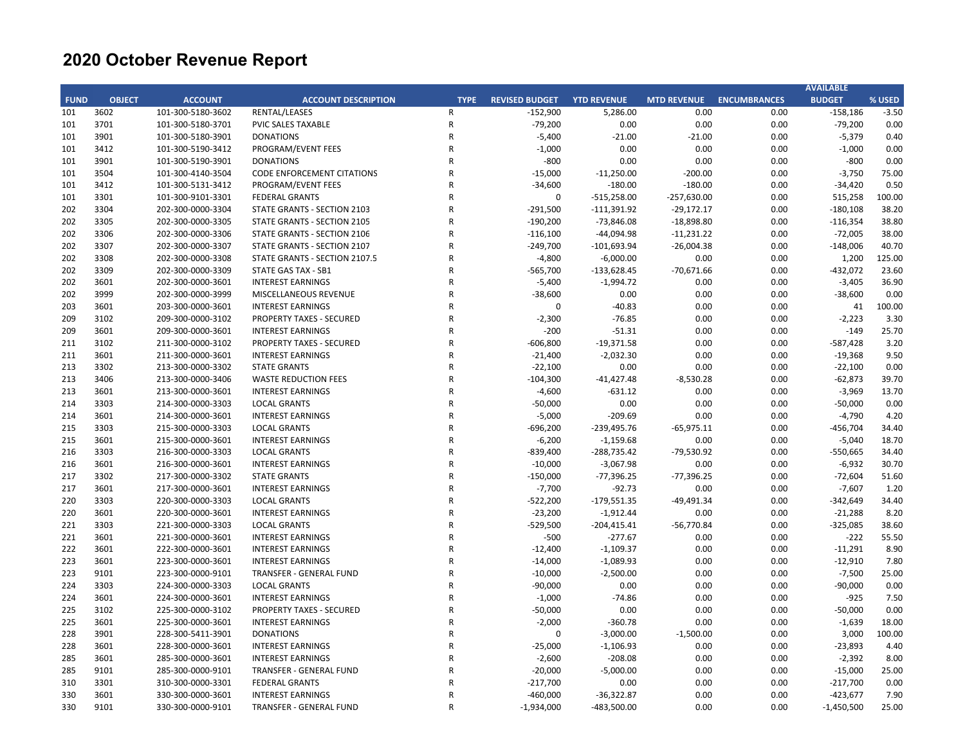|             |               |                                        |                                                      |             |                       |                          |                    |                     | <b>AVAILABLE</b>      |              |
|-------------|---------------|----------------------------------------|------------------------------------------------------|-------------|-----------------------|--------------------------|--------------------|---------------------|-----------------------|--------------|
| <b>FUND</b> | <b>OBJECT</b> | <b>ACCOUNT</b>                         | <b>ACCOUNT DESCRIPTION</b>                           | <b>TYPE</b> | <b>REVISED BUDGET</b> | <b>YTD REVENUE</b>       | <b>MTD REVENUE</b> | <b>ENCUMBRANCES</b> | <b>BUDGET</b>         | % USED       |
| 101         | 3602          | 101-300-5180-3602                      | RENTAL/LEASES                                        | R           | $-152,900$            | 5,286.00                 | 0.00               | 0.00                | $-158,186$            | $-3.50$      |
| 101         | 3701          | 101-300-5180-3701                      | <b>PVIC SALES TAXABLE</b>                            | R           | $-79,200$             | 0.00                     | 0.00               | 0.00                | $-79,200$             | 0.00         |
| 101         | 3901          | 101-300-5180-3901                      | <b>DONATIONS</b>                                     | R           | $-5,400$              | $-21.00$                 | $-21.00$           | 0.00                | $-5,379$              | 0.40         |
| 101         | 3412          | 101-300-5190-3412                      | PROGRAM/EVENT FEES                                   | R           | $-1,000$              | 0.00                     | 0.00               | 0.00                | $-1,000$              | 0.00         |
| 101         | 3901          | 101-300-5190-3901                      | <b>DONATIONS</b>                                     | R           | $-800$                | 0.00                     | 0.00               | 0.00                | $-800$                | 0.00         |
| 101         | 3504          | 101-300-4140-3504                      | <b>CODE ENFORCEMENT CITATIONS</b>                    | R           | $-15,000$             | $-11,250.00$             | $-200.00$          | 0.00                | $-3,750$              | 75.00        |
| 101         | 3412          | 101-300-5131-3412                      | PROGRAM/EVENT FEES                                   | R           | $-34,600$             | $-180.00$                | $-180.00$          | 0.00                | $-34,420$             | 0.50         |
| 101         | 3301          | 101-300-9101-3301                      | <b>FEDERAL GRANTS</b>                                | R           | $\pmb{0}$             | $-515,258.00$            | $-257,630.00$      | 0.00                | 515,258               | 100.00       |
| 202         | 3304          | 202-300-0000-3304                      | STATE GRANTS - SECTION 2103                          | R           | $-291,500$            | $-111,391.92$            | $-29,172.17$       | 0.00                | $-180,108$            | 38.20        |
| 202         | 3305          | 202-300-0000-3305                      | STATE GRANTS - SECTION 2105                          | R           | $-190,200$            | $-73,846.08$             | $-18,898.80$       | 0.00                | $-116,354$            | 38.80        |
| 202         | 3306          | 202-300-0000-3306                      | STATE GRANTS - SECTION 2106                          | R           | $-116,100$            | -44,094.98               | $-11,231.22$       | 0.00                | $-72,005$             | 38.00        |
| 202         | 3307          | 202-300-0000-3307                      | STATE GRANTS - SECTION 2107                          | R           | $-249,700$            | $-101,693.94$            | $-26,004.38$       | 0.00                | $-148,006$            | 40.70        |
| 202         | 3308          | 202-300-0000-3308                      | STATE GRANTS - SECTION 2107.5                        | R           | $-4,800$              | $-6,000.00$              | 0.00               | 0.00                | 1,200                 | 125.00       |
| 202         | 3309          | 202-300-0000-3309                      | STATE GAS TAX - SB1                                  | R           | $-565,700$            | $-133,628.45$            | $-70,671.66$       | 0.00                | $-432,072$            | 23.60        |
| 202         | 3601          | 202-300-0000-3601                      | <b>INTEREST EARNINGS</b>                             | R           | $-5,400$              | $-1,994.72$              | 0.00               | 0.00                | $-3,405$              | 36.90        |
| 202         | 3999          | 202-300-0000-3999                      | MISCELLANEOUS REVENUE                                | R           | $-38,600$             | 0.00                     | 0.00               | 0.00                | $-38,600$             | 0.00         |
| 203         | 3601          | 203-300-0000-3601                      | <b>INTEREST EARNINGS</b>                             | R           | 0                     | $-40.83$                 | 0.00               | 0.00                | 41                    | 100.00       |
| 209         | 3102          | 209-300-0000-3102                      | <b>PROPERTY TAXES - SECURED</b>                      | R           | $-2,300$              | $-76.85$                 | 0.00               | 0.00                | $-2,223$              | 3.30         |
| 209         | 3601          | 209-300-0000-3601                      | <b>INTEREST EARNINGS</b>                             | R           | $-200$                | $-51.31$                 | 0.00               | 0.00                | $-149$                | 25.70        |
| 211         | 3102          | 211-300-0000-3102                      | <b>PROPERTY TAXES - SECURED</b>                      | R           | $-606,800$            | $-19,371.58$             | 0.00               | 0.00                | -587,428              | 3.20         |
| 211         | 3601          | 211-300-0000-3601                      | <b>INTEREST EARNINGS</b>                             | R           | $-21,400$             | $-2,032.30$              | 0.00               | 0.00                | $-19,368$             | 9.50         |
| 213         | 3302          | 213-300-0000-3302                      | <b>STATE GRANTS</b>                                  | R           | $-22,100$             | 0.00                     | 0.00               | 0.00                | $-22,100$             | 0.00         |
| 213         | 3406          | 213-300-0000-3406                      | <b>WASTE REDUCTION FEES</b>                          | R           | $-104,300$            | $-41,427.48$             | $-8,530.28$        | 0.00                | $-62,873$             | 39.70        |
| 213         | 3601          | 213-300-0000-3601                      | <b>INTEREST EARNINGS</b>                             | R           | $-4,600$              | $-631.12$                | 0.00               | 0.00                | $-3,969$              | 13.70        |
| 214         | 3303          | 214-300-0000-3303                      | <b>LOCAL GRANTS</b>                                  | R           | $-50,000$             | 0.00                     | 0.00               | 0.00                | $-50,000$             | 0.00         |
| 214         | 3601          | 214-300-0000-3601                      | <b>INTEREST EARNINGS</b>                             | R           | $-5,000$              | $-209.69$                | 0.00               | 0.00                | $-4,790$              | 4.20         |
| 215         | 3303          | 215-300-0000-3303                      | <b>LOCAL GRANTS</b>                                  | R           | $-696,200$            | $-239,495.76$            | $-65,975.11$       | 0.00                | -456,704              | 34.40        |
| 215         | 3601          | 215-300-0000-3601                      | <b>INTEREST EARNINGS</b>                             | R           | $-6,200$              | $-1,159.68$              | 0.00               | 0.00                | $-5,040$              | 18.70        |
| 216         | 3303          | 216-300-0000-3303                      | <b>LOCAL GRANTS</b>                                  | R           | $-839,400$            | $-288,735.42$            | $-79,530.92$       | 0.00                | $-550,665$            | 34.40        |
| 216         | 3601          | 216-300-0000-3601                      | <b>INTEREST EARNINGS</b>                             | R           | $-10,000$             | $-3,067.98$              | 0.00               | 0.00                | $-6,932$              | 30.70        |
| 217         | 3302          | 217-300-0000-3302                      | <b>STATE GRANTS</b>                                  | R           | $-150,000$            | $-77,396.25$             | $-77,396.25$       | 0.00                | $-72,604$             | 51.60        |
| 217         | 3601          | 217-300-0000-3601                      | <b>INTEREST EARNINGS</b>                             | R           | $-7,700$              | $-92.73$                 | 0.00               | 0.00                | $-7,607$              | 1.20         |
| 220         | 3303          | 220-300-0000-3303                      | <b>LOCAL GRANTS</b>                                  | R           | $-522,200$            | $-179,551.35$            | -49,491.34         | 0.00                | $-342,649$            | 34.40        |
| 220         | 3601          | 220-300-0000-3601                      | <b>INTEREST EARNINGS</b>                             | R           | $-23,200$             | $-1,912.44$              | 0.00               | 0.00                | $-21,288$             | 8.20         |
| 221         | 3303          | 221-300-0000-3303                      | <b>LOCAL GRANTS</b>                                  | R           | $-529,500$            | $-204,415.41$            | $-56,770.84$       | 0.00                | $-325,085$            | 38.60        |
| 221         | 3601          | 221-300-0000-3601                      | <b>INTEREST EARNINGS</b>                             | R           | $-500$                | $-277.67$                | 0.00               | 0.00                | $-222$                | 55.50        |
| 222         | 3601          | 222-300-0000-3601                      | <b>INTEREST EARNINGS</b>                             | R           | $-12,400$             | $-1,109.37$              | 0.00               | 0.00                | $-11,291$             | 8.90         |
| 223         | 3601          | 223-300-0000-3601                      | <b>INTEREST EARNINGS</b>                             | R           | $-14,000$             | $-1,089.93$              | 0.00               | 0.00                | $-12,910$             | 7.80         |
| 223         | 9101          | 223-300-0000-9101                      | <b>TRANSFER - GENERAL FUND</b>                       | R           | $-10,000$             | $-2,500.00$              | 0.00               | 0.00                | $-7,500$              | 25.00        |
| 224         | 3303          | 224-300-0000-3303                      | <b>LOCAL GRANTS</b>                                  | R           | $-90,000$             | 0.00                     | 0.00               | 0.00                | $-90,000$             | 0.00         |
| 224         | 3601          | 224-300-0000-3601                      | <b>INTEREST EARNINGS</b>                             | R           | $-1,000$              | $-74.86$                 | 0.00               | 0.00                | $-925$                | 7.50         |
| 225         | 3102          | 225-300-0000-3102                      | <b>PROPERTY TAXES - SECURED</b>                      | R           | $-50,000$             | 0.00                     | 0.00               | 0.00                | $-50,000$             | 0.00         |
| 225         | 3601          | 225-300-0000-3601                      | <b>INTEREST EARNINGS</b>                             | R           | $-2,000$              | $-360.78$                | 0.00               | 0.00                | $-1,639$              | 18.00        |
| 228         | 3901          | 228-300-5411-3901                      | <b>DONATIONS</b>                                     | R           | $\mathbf 0$           | $-3,000.00$              | $-1,500.00$        | 0.00                | 3,000                 | 100.00       |
|             |               |                                        |                                                      | R           |                       |                          |                    |                     |                       |              |
| 228<br>285  | 3601<br>3601  | 228-300-0000-3601<br>285-300-0000-3601 | <b>INTEREST EARNINGS</b><br><b>INTEREST EARNINGS</b> | R           | $-25,000$<br>$-2,600$ | $-1,106.93$<br>$-208.08$ | 0.00<br>0.00       | 0.00<br>0.00        | $-23,893$<br>$-2,392$ | 4.40<br>8.00 |
| 285         | 9101          | 285-300-0000-9101                      | TRANSFER - GENERAL FUND                              | R           | $-20,000$             | $-5,000.00$              | 0.00               | 0.00                | $-15,000$             | 25.00        |
| 310         | 3301          | 310-300-0000-3301                      | <b>FEDERAL GRANTS</b>                                | R           | $-217,700$            | 0.00                     | 0.00               | 0.00                | $-217,700$            | 0.00         |
| 330         | 3601          | 330-300-0000-3601                      | <b>INTEREST EARNINGS</b>                             | R           | $-460,000$            | $-36,322.87$             | 0.00               | 0.00                | $-423,677$            | 7.90         |
| 330         | 9101          | 330-300-0000-9101                      | <b>TRANSFER - GENERAL FUND</b>                       | R           | $-1,934,000$          | $-483,500.00$            | 0.00               | 0.00                | $-1,450,500$          | 25.00        |
|             |               |                                        |                                                      |             |                       |                          |                    |                     |                       |              |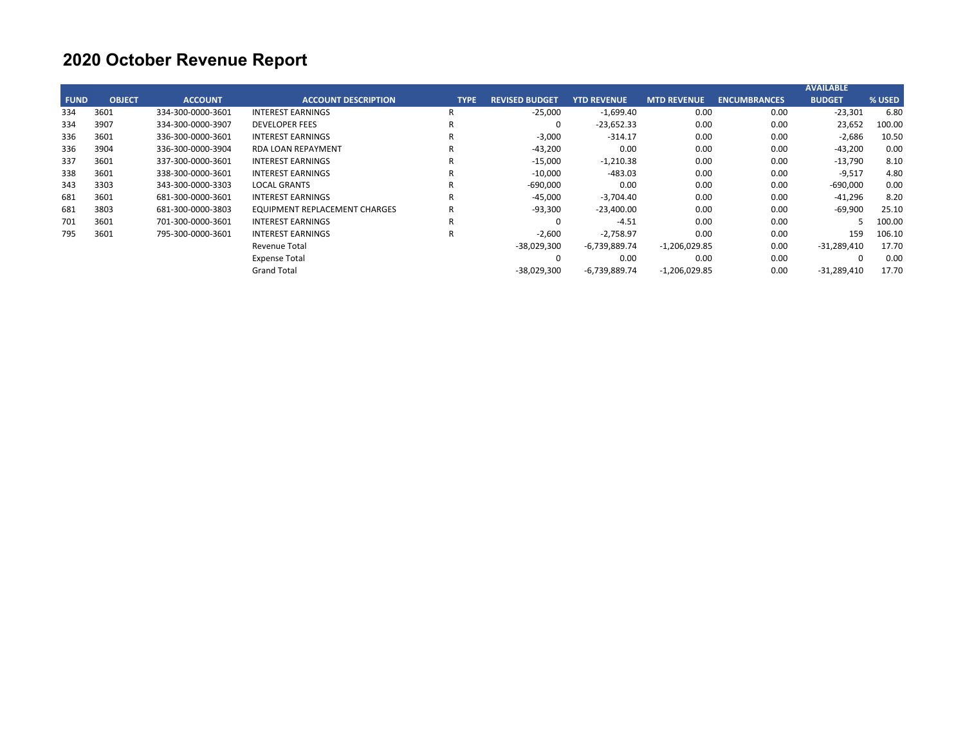|             |               |                   |                               |             |                       |                    |                    |                     | <b>AVAILABLE</b> |        |
|-------------|---------------|-------------------|-------------------------------|-------------|-----------------------|--------------------|--------------------|---------------------|------------------|--------|
| <b>FUND</b> | <b>OBJECT</b> | <b>ACCOUNT</b>    | <b>ACCOUNT DESCRIPTION</b>    | <b>TYPE</b> | <b>REVISED BUDGET</b> | <b>YTD REVENUE</b> | <b>MTD REVENUE</b> | <b>ENCUMBRANCES</b> | <b>BUDGET</b>    | % USED |
| 334         | 3601          | 334-300-0000-3601 | <b>INTEREST EARNINGS</b>      | -R          | $-25,000$             | $-1,699.40$        | 0.00               | 0.00                | $-23,301$        | 6.80   |
| 334         | 3907          | 334-300-0000-3907 | <b>DEVELOPER FEES</b>         | R           | 0                     | $-23,652.33$       | 0.00               | 0.00                | 23,652           | 100.00 |
| 336         | 3601          | 336-300-0000-3601 | <b>INTEREST EARNINGS</b>      | R           | $-3,000$              | $-314.17$          | 0.00               | 0.00                | $-2,686$         | 10.50  |
| 336         | 3904          | 336-300-0000-3904 | <b>RDA LOAN REPAYMENT</b>     | R           | $-43,200$             | 0.00               | 0.00               | 0.00                | -43,200          | 0.00   |
| 337         | 3601          | 337-300-0000-3601 | <b>INTEREST EARNINGS</b>      | R           | $-15,000$             | $-1,210.38$        | 0.00               | 0.00                | $-13,790$        | 8.10   |
| 338         | 3601          | 338-300-0000-3601 | <b>INTEREST EARNINGS</b>      | R           | $-10,000$             | -483.03            | 0.00               | 0.00                | $-9,517$         | 4.80   |
| 343         | 3303          | 343-300-0000-3303 | <b>LOCAL GRANTS</b>           | R           | $-690,000$            | 0.00               | 0.00               | 0.00                | $-690,000$       | 0.00   |
| 681         | 3601          | 681-300-0000-3601 | <b>INTEREST EARNINGS</b>      | R           | $-45,000$             | $-3,704.40$        | 0.00               | 0.00                | -41,296          | 8.20   |
| 681         | 3803          | 681-300-0000-3803 | EQUIPMENT REPLACEMENT CHARGES | R           | $-93,300$             | $-23,400.00$       | 0.00               | 0.00                | -69,900          | 25.10  |
| 701         | 3601          | 701-300-0000-3601 | <b>INTEREST EARNINGS</b>      | R           | O                     | $-4.51$            | 0.00               | 0.00                |                  | 100.00 |
| 795         | 3601          | 795-300-0000-3601 | <b>INTEREST EARNINGS</b>      | R           | $-2,600$              | $-2,758.97$        | 0.00               | 0.00                | 159              | 106.10 |
|             |               |                   | Revenue Total                 |             | -38,029,300           | -6,739,889.74      | $-1,206,029.85$    | 0.00                | $-31,289,410$    | 17.70  |
|             |               |                   | <b>Expense Total</b>          |             |                       | 0.00               | 0.00               | 0.00                | $\Omega$         | 0.00   |
|             |               |                   | <b>Grand Total</b>            |             | $-38,029,300$         | $-6,739,889.74$    | $-1,206,029.85$    | 0.00                | $-31,289,410$    | 17.70  |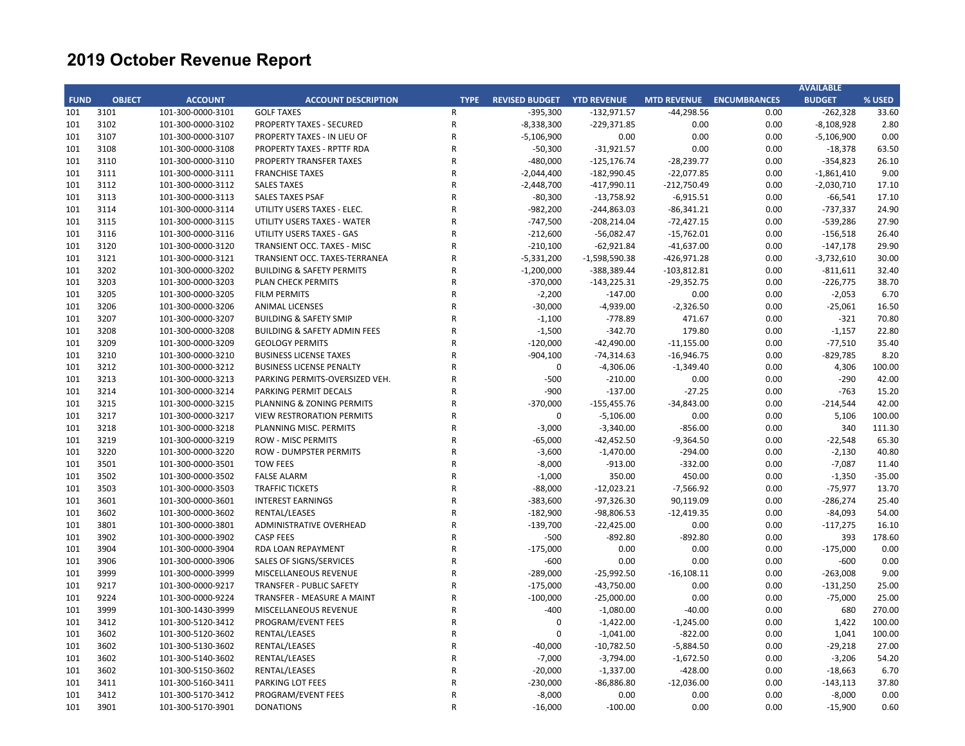|             |               |                   |                                         |              |                                   |                 |               |                                 | <b>AVAILABLE</b> |          |
|-------------|---------------|-------------------|-----------------------------------------|--------------|-----------------------------------|-----------------|---------------|---------------------------------|------------------|----------|
| <b>FUND</b> | <b>OBJECT</b> | <b>ACCOUNT</b>    | <b>ACCOUNT DESCRIPTION</b>              | <b>TYPE</b>  | <b>REVISED BUDGET YTD REVENUE</b> |                 |               | <b>MTD REVENUE ENCUMBRANCES</b> | <b>BUDGET</b>    | % USED   |
| 101         | 3101          | 101-300-0000-3101 | <b>GOLF TAXES</b>                       | R            | $-395,300$                        | $-132,971.57$   | $-44,298.56$  | 0.00                            | $-262,328$       | 33.60    |
| 101         | 3102          | 101-300-0000-3102 | <b>PROPERTY TAXES - SECURED</b>         | $\mathsf{R}$ | $-8,338,300$                      | $-229,371.85$   | 0.00          | 0.00                            | $-8,108,928$     | 2.80     |
| 101         | 3107          | 101-300-0000-3107 | PROPERTY TAXES - IN LIEU OF             | R            | $-5,106,900$                      | 0.00            | 0.00          | 0.00                            | $-5,106,900$     | 0.00     |
| 101         | 3108          | 101-300-0000-3108 | PROPERTY TAXES - RPTTF RDA              | R            | $-50,300$                         | $-31,921.57$    | 0.00          | 0.00                            | $-18,378$        | 63.50    |
| 101         | 3110          | 101-300-0000-3110 | <b>PROPERTY TRANSFER TAXES</b>          | $\mathsf{R}$ | $-480,000$                        | $-125, 176.74$  | $-28,239.77$  | 0.00                            | $-354,823$       | 26.10    |
| 101         | 3111          | 101-300-0000-3111 | <b>FRANCHISE TAXES</b>                  | ${\sf R}$    | $-2,044,400$                      | $-182,990.45$   | $-22,077.85$  | 0.00                            | $-1,861,410$     | 9.00     |
| 101         | 3112          | 101-300-0000-3112 | <b>SALES TAXES</b>                      | ${\sf R}$    | $-2,448,700$                      | $-417,990.11$   | $-212,750.49$ | 0.00                            | $-2,030,710$     | 17.10    |
| 101         | 3113          | 101-300-0000-3113 | <b>SALES TAXES PSAF</b>                 | R            | $-80,300$                         | $-13,758.92$    | $-6,915.51$   | 0.00                            | $-66,541$        | 17.10    |
| 101         | 3114          | 101-300-0000-3114 | UTILITY USERS TAXES - ELEC.             | $\mathsf{R}$ | $-982,200$                        | $-244,863.03$   | $-86,341.21$  | 0.00                            | $-737,337$       | 24.90    |
| 101         | 3115          | 101-300-0000-3115 | UTILITY USERS TAXES - WATER             | R            | $-747,500$                        | $-208,214.04$   | $-72,427.15$  | 0.00                            | $-539,286$       | 27.90    |
| 101         | 3116          | 101-300-0000-3116 | UTILITY USERS TAXES - GAS               | $\mathsf{R}$ | $-212,600$                        | $-56,082.47$    | $-15,762.01$  | 0.00                            | $-156,518$       | 26.40    |
| 101         | 3120          | 101-300-0000-3120 | TRANSIENT OCC. TAXES - MISC             | R            | $-210,100$                        | $-62,921.84$    | $-41,637.00$  | 0.00                            | $-147,178$       | 29.90    |
| 101         | 3121          | 101-300-0000-3121 | TRANSIENT OCC. TAXES-TERRANEA           | R            | $-5,331,200$                      | $-1,598,590.38$ | $-426,971.28$ | 0.00                            | $-3,732,610$     | 30.00    |
| 101         | 3202          | 101-300-0000-3202 | <b>BUILDING &amp; SAFETY PERMITS</b>    | $\mathsf{R}$ | $-1,200,000$                      | -388,389.44     | $-103,812.81$ | 0.00                            | $-811,611$       | 32.40    |
| 101         | 3203          | 101-300-0000-3203 | <b>PLAN CHECK PERMITS</b>               | ${\sf R}$    | $-370,000$                        | $-143,225.31$   | $-29,352.75$  | 0.00                            | $-226,775$       | 38.70    |
| 101         | 3205          | 101-300-0000-3205 | <b>FILM PERMITS</b>                     | ${\sf R}$    | $-2,200$                          | $-147.00$       | 0.00          | 0.00                            | $-2,053$         | 6.70     |
| 101         | 3206          | 101-300-0000-3206 | <b>ANIMAL LICENSES</b>                  | R            | $-30,000$                         | $-4,939.00$     | $-2,326.50$   | 0.00                            | $-25,061$        | 16.50    |
| 101         | 3207          | 101-300-0000-3207 | <b>BUILDING &amp; SAFETY SMIP</b>       | $\mathsf{R}$ | $-1,100$                          | $-778.89$       | 471.67        | 0.00                            | $-321$           | 70.80    |
| 101         | 3208          | 101-300-0000-3208 | <b>BUILDING &amp; SAFETY ADMIN FEES</b> | ${\sf R}$    | $-1,500$                          | $-342.70$       | 179.80        | 0.00                            | $-1,157$         | 22.80    |
| 101         | 3209          | 101-300-0000-3209 | <b>GEOLOGY PERMITS</b>                  | $\mathsf{R}$ | $-120,000$                        | $-42,490.00$    | $-11,155.00$  | 0.00                            | $-77,510$        | 35.40    |
| 101         | 3210          | 101-300-0000-3210 | <b>BUSINESS LICENSE TAXES</b>           | R            | $-904,100$                        | $-74,314.63$    | $-16,946.75$  | 0.00                            | $-829,785$       | 8.20     |
| 101         | 3212          | 101-300-0000-3212 | <b>BUSINESS LICENSE PENALTY</b>         | R            | 0                                 | $-4,306.06$     | $-1,349.40$   | 0.00                            | 4,306            | 100.00   |
| 101         | 3213          | 101-300-0000-3213 | PARKING PERMITS-OVERSIZED VEH.          | ${\sf R}$    | $-500$                            | $-210.00$       | 0.00          | 0.00                            | $-290$           | 42.00    |
| 101         | 3214          | 101-300-0000-3214 | PARKING PERMIT DECALS                   | $\mathsf{R}$ | $-900$                            | $-137.00$       | $-27.25$      | 0.00                            | $-763$           | 15.20    |
| 101         | 3215          | 101-300-0000-3215 | PLANNING & ZONING PERMITS               | ${\sf R}$    | $-370,000$                        | $-155,455.76$   | $-34,843.00$  | 0.00                            | $-214,544$       | 42.00    |
| 101         | 3217          | 101-300-0000-3217 | <b>VIEW RESTRORATION PERMITS</b>        | R            | 0                                 | $-5,106.00$     | 0.00          | 0.00                            | 5,106            | 100.00   |
| 101         | 3218          | 101-300-0000-3218 | PLANNING MISC. PERMITS                  | $\mathsf{R}$ | $-3,000$                          | $-3,340.00$     | $-856.00$     | 0.00                            | 340              | 111.30   |
| 101         | 3219          | 101-300-0000-3219 | <b>ROW - MISC PERMITS</b>               | R            | $-65,000$                         | $-42,452.50$    | $-9,364.50$   | 0.00                            | $-22,548$        | 65.30    |
| 101         | 3220          | 101-300-0000-3220 | <b>ROW - DUMPSTER PERMITS</b>           | R            | $-3,600$                          | $-1,470.00$     | $-294.00$     | 0.00                            | $-2,130$         | 40.80    |
| 101         | 3501          | 101-300-0000-3501 | <b>TOW FEES</b>                         | R            | $-8,000$                          | $-913.00$       | $-332.00$     | 0.00                            | $-7,087$         | 11.40    |
| 101         | 3502          | 101-300-0000-3502 | <b>FALSE ALARM</b>                      | R            | $-1,000$                          | 350.00          | 450.00        | 0.00                            | $-1,350$         | $-35.00$ |
| 101         | 3503          | 101-300-0000-3503 | <b>TRAFFIC TICKETS</b>                  | ${\sf R}$    | $-88,000$                         | $-12,023.21$    | $-7,566.92$   | 0.00                            | $-75,977$        | 13.70    |
| 101         | 3601          | 101-300-0000-3601 | <b>INTEREST EARNINGS</b>                | $\mathsf{R}$ | $-383,600$                        | $-97,326.30$    | 90,119.09     | 0.00                            | $-286,274$       | 25.40    |
| 101         | 3602          | 101-300-0000-3602 | RENTAL/LEASES                           | ${\sf R}$    | $-182,900$                        | -98,806.53      | $-12,419.35$  | 0.00                            | $-84,093$        | 54.00    |
| 101         | 3801          | 101-300-0000-3801 | ADMINISTRATIVE OVERHEAD                 | R            | $-139,700$                        | $-22,425.00$    | 0.00          | 0.00                            | $-117,275$       | 16.10    |
| 101         | 3902          | 101-300-0000-3902 | <b>CASP FEES</b>                        | $\mathsf{R}$ | $-500$                            | $-892.80$       | $-892.80$     | 0.00                            | 393              | 178.60   |
| 101         | 3904          | 101-300-0000-3904 | RDA LOAN REPAYMENT                      | ${\sf R}$    | $-175,000$                        | 0.00            | 0.00          | 0.00                            | $-175,000$       | 0.00     |
| 101         | 3906          | 101-300-0000-3906 | SALES OF SIGNS/SERVICES                 | $\mathsf{R}$ | $-600$                            | 0.00            | 0.00          | 0.00                            | $-600$           | 0.00     |
| 101         | 3999          | 101-300-0000-3999 | MISCELLANEOUS REVENUE                   | R            | $-289,000$                        | $-25,992.50$    | $-16,108.11$  | 0.00                            | $-263,008$       | 9.00     |
| 101         | 9217          | 101-300-0000-9217 | <b>TRANSFER - PUBLIC SAFETY</b>         | R            | $-175,000$                        | $-43,750.00$    | 0.00          | 0.00                            | $-131,250$       | 25.00    |
| 101         | 9224          | 101-300-0000-9224 | TRANSFER - MEASURE A MAINT              | R            | $-100,000$                        | $-25,000.00$    | 0.00          | 0.00                            | $-75,000$        | 25.00    |
| 101         | 3999          | 101-300-1430-3999 | MISCELLANEOUS REVENUE                   | R            | $-400$                            | $-1,080.00$     | $-40.00$      | 0.00                            | 680              | 270.00   |
| 101         | 3412          | 101-300-5120-3412 | PROGRAM/EVENT FEES                      | R            | $\mathbf 0$                       | $-1,422.00$     | $-1,245.00$   | 0.00                            | 1,422            | 100.00   |
| 101         | 3602          | 101-300-5120-3602 | RENTAL/LEASES                           | R            | 0                                 | $-1,041.00$     | $-822.00$     | 0.00                            | 1,041            | 100.00   |
| 101         | 3602          | 101-300-5130-3602 | RENTAL/LEASES                           | $\mathsf{R}$ | $-40,000$                         | $-10,782.50$    | $-5,884.50$   | 0.00                            | $-29,218$        | 27.00    |
| 101         | 3602          | 101-300-5140-3602 | RENTAL/LEASES                           | R            | $-7,000$                          | $-3,794.00$     | $-1,672.50$   | 0.00                            | $-3,206$         | 54.20    |
| 101         | 3602          | 101-300-5150-3602 | RENTAL/LEASES                           | $\mathsf{R}$ | $-20,000$                         | $-1,337.00$     | $-428.00$     | 0.00                            | $-18,663$        | 6.70     |
| 101         | 3411          | 101-300-5160-3411 | PARKING LOT FEES                        | R            | $-230,000$                        | $-86,886.80$    | $-12,036.00$  | 0.00                            | $-143,113$       | 37.80    |
| 101         | 3412          | 101-300-5170-3412 | PROGRAM/EVENT FEES                      | R            | $-8,000$                          | 0.00            | 0.00          | 0.00                            | $-8,000$         | 0.00     |
| 101         | 3901          | 101-300-5170-3901 | <b>DONATIONS</b>                        | R            | $-16,000$                         | $-100.00$       | 0.00          | 0.00                            | $-15,900$        | 0.60     |
|             |               |                   |                                         |              |                                   |                 |               |                                 |                  |          |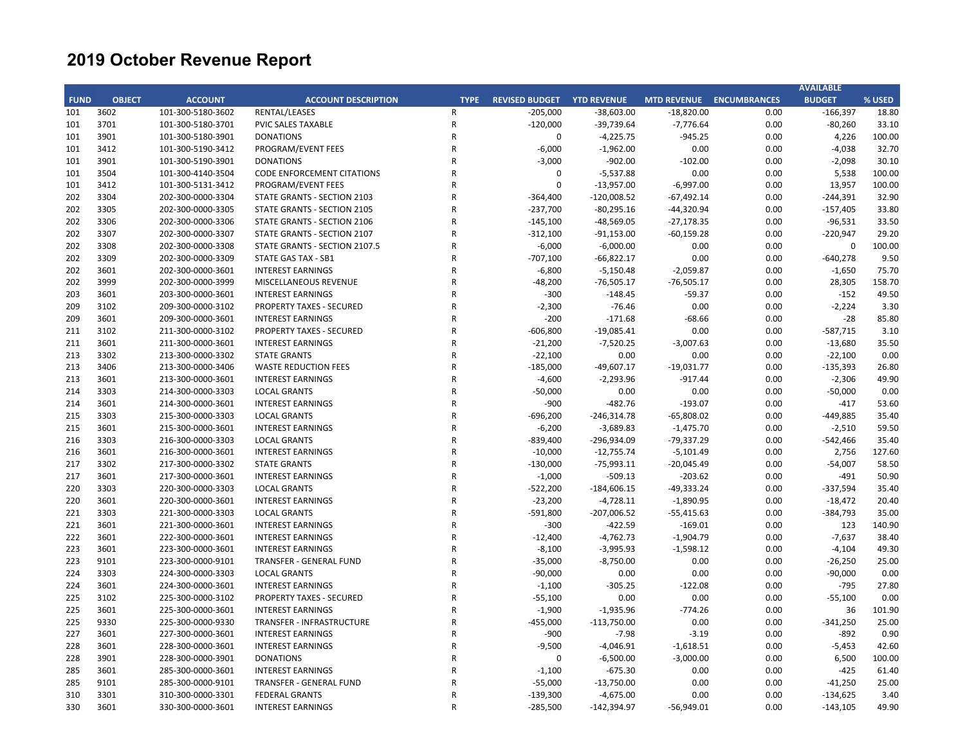|             |               |                   |                                   |              |                                   |               |                          |      | <b>AVAILABLE</b> |        |
|-------------|---------------|-------------------|-----------------------------------|--------------|-----------------------------------|---------------|--------------------------|------|------------------|--------|
| <b>FUND</b> | <b>OBJECT</b> | <b>ACCOUNT</b>    | <b>ACCOUNT DESCRIPTION</b>        | <b>TYPE</b>  | <b>REVISED BUDGET YTD REVENUE</b> |               | MTD REVENUE ENCUMBRANCES |      | <b>BUDGET</b>    | % USED |
| 101         | 3602          | 101-300-5180-3602 | RENTAL/LEASES                     | R            | $-205,000$                        | $-38,603.00$  | $-18,820.00$             | 0.00 | $-166,397$       | 18.80  |
| 101         | 3701          | 101-300-5180-3701 | <b>PVIC SALES TAXABLE</b>         | $\mathsf{R}$ | $-120,000$                        | $-39,739.64$  | $-7,776.64$              | 0.00 | $-80,260$        | 33.10  |
| 101         | 3901          | 101-300-5180-3901 | <b>DONATIONS</b>                  | R            | $\mathbf 0$                       | $-4,225.75$   | $-945.25$                | 0.00 | 4,226            | 100.00 |
| 101         | 3412          | 101-300-5190-3412 | PROGRAM/EVENT FEES                | R            | $-6,000$                          | $-1,962.00$   | 0.00                     | 0.00 | $-4,038$         | 32.70  |
| 101         | 3901          | 101-300-5190-3901 | <b>DONATIONS</b>                  | R            | $-3,000$                          | $-902.00$     | $-102.00$                | 0.00 | $-2,098$         | 30.10  |
| 101         | 3504          | 101-300-4140-3504 | <b>CODE ENFORCEMENT CITATIONS</b> | R            | $\mathbf 0$                       | $-5,537.88$   | 0.00                     | 0.00 | 5,538            | 100.00 |
| 101         | 3412          | 101-300-5131-3412 | PROGRAM/EVENT FEES                | R            | $\mathbf 0$                       | $-13,957.00$  | $-6,997.00$              | 0.00 | 13,957           | 100.00 |
| 202         | 3304          | 202-300-0000-3304 | STATE GRANTS - SECTION 2103       | R            | $-364,400$                        | $-120,008.52$ | $-67,492.14$             | 0.00 | $-244,391$       | 32.90  |
| 202         | 3305          | 202-300-0000-3305 | STATE GRANTS - SECTION 2105       | R            | $-237,700$                        | $-80,295.16$  | $-44,320.94$             | 0.00 | $-157,405$       | 33.80  |
| 202         | 3306          | 202-300-0000-3306 | STATE GRANTS - SECTION 2106       | R            | $-145,100$                        | $-48,569.05$  | $-27,178.35$             | 0.00 | $-96,531$        | 33.50  |
| 202         | 3307          | 202-300-0000-3307 | STATE GRANTS - SECTION 2107       | R            | $-312,100$                        | $-91,153.00$  | $-60,159.28$             | 0.00 | $-220,947$       | 29.20  |
| 202         | 3308          | 202-300-0000-3308 | STATE GRANTS - SECTION 2107.5     | R            | $-6,000$                          | $-6,000.00$   | 0.00                     | 0.00 | $\mathbf 0$      | 100.00 |
| 202         | 3309          | 202-300-0000-3309 | STATE GAS TAX - SB1               | R            | $-707,100$                        | $-66,822.17$  | 0.00                     | 0.00 | $-640,278$       | 9.50   |
| 202         | 3601          | 202-300-0000-3601 | <b>INTEREST EARNINGS</b>          | R            | $-6,800$                          | $-5,150.48$   | $-2,059.87$              | 0.00 | $-1,650$         | 75.70  |
| 202         | 3999          | 202-300-0000-3999 | MISCELLANEOUS REVENUE             | R            | $-48,200$                         | $-76,505.17$  | $-76,505.17$             | 0.00 | 28,305           | 158.70 |
| 203         | 3601          | 203-300-0000-3601 | <b>INTEREST EARNINGS</b>          | R            | $-300$                            | $-148.45$     | $-59.37$                 | 0.00 | $-152$           | 49.50  |
| 209         | 3102          | 209-300-0000-3102 | <b>PROPERTY TAXES - SECURED</b>   | R            | $-2,300$                          | $-76.46$      | 0.00                     | 0.00 | $-2,224$         | 3.30   |
| 209         | 3601          | 209-300-0000-3601 | <b>INTEREST EARNINGS</b>          | R            | $-200$                            | $-171.68$     | $-68.66$                 | 0.00 | $-28$            | 85.80  |
| 211         | 3102          | 211-300-0000-3102 | <b>PROPERTY TAXES - SECURED</b>   | R            | $-606,800$                        | $-19,085.41$  | 0.00                     | 0.00 | $-587,715$       | 3.10   |
| 211         | 3601          | 211-300-0000-3601 | <b>INTEREST EARNINGS</b>          | R            | $-21,200$                         | $-7,520.25$   | $-3,007.63$              | 0.00 | $-13,680$        | 35.50  |
| 213         | 3302          | 213-300-0000-3302 | <b>STATE GRANTS</b>               | R            | $-22,100$                         | 0.00          | 0.00                     | 0.00 | $-22,100$        | 0.00   |
| 213         | 3406          | 213-300-0000-3406 | <b>WASTE REDUCTION FEES</b>       | R            | $-185,000$                        | $-49,607.17$  | $-19,031.77$             | 0.00 | $-135,393$       | 26.80  |
| 213         | 3601          | 213-300-0000-3601 | <b>INTEREST EARNINGS</b>          | R            | $-4,600$                          | $-2,293.96$   | $-917.44$                | 0.00 | $-2,306$         | 49.90  |
| 214         | 3303          | 214-300-0000-3303 | <b>LOCAL GRANTS</b>               | R            | $-50,000$                         | 0.00          | 0.00                     | 0.00 | $-50,000$        | 0.00   |
| 214         | 3601          | 214-300-0000-3601 | <b>INTEREST EARNINGS</b>          | R            | $-900$                            | $-482.76$     | $-193.07$                | 0.00 | $-417$           | 53.60  |
| 215         | 3303          | 215-300-0000-3303 | <b>LOCAL GRANTS</b>               | R            | $-696,200$                        | $-246,314.78$ | $-65,808.02$             | 0.00 | $-449,885$       | 35.40  |
| 215         | 3601          | 215-300-0000-3601 | <b>INTEREST EARNINGS</b>          | R            | $-6,200$                          | $-3,689.83$   | $-1,475.70$              | 0.00 | $-2,510$         | 59.50  |
| 216         | 3303          | 216-300-0000-3303 | <b>LOCAL GRANTS</b>               | R            | $-839,400$                        | $-296,934.09$ | $-79,337.29$             | 0.00 | $-542,466$       | 35.40  |
| 216         | 3601          | 216-300-0000-3601 | <b>INTEREST EARNINGS</b>          | R            | $-10,000$                         | $-12,755.74$  | $-5,101.49$              | 0.00 | 2,756            | 127.60 |
| 217         | 3302          | 217-300-0000-3302 | <b>STATE GRANTS</b>               | R            | $-130,000$                        | $-75,993.11$  | $-20,045.49$             | 0.00 | $-54,007$        | 58.50  |
| 217         | 3601          | 217-300-0000-3601 | <b>INTEREST EARNINGS</b>          | R            | $-1,000$                          | $-509.13$     | $-203.62$                | 0.00 | $-491$           | 50.90  |
| 220         | 3303          | 220-300-0000-3303 | <b>LOCAL GRANTS</b>               | R            | $-522,200$                        | $-184,606.15$ | $-49,333.24$             | 0.00 | -337,594         | 35.40  |
| 220         | 3601          | 220-300-0000-3601 | <b>INTEREST EARNINGS</b>          | R            | $-23,200$                         | $-4,728.11$   | $-1,890.95$              | 0.00 | $-18,472$        | 20.40  |
| 221         | 3303          | 221-300-0000-3303 | <b>LOCAL GRANTS</b>               | R            | $-591,800$                        | $-207,006.52$ | $-55,415.63$             | 0.00 | -384,793         | 35.00  |
| 221         | 3601          | 221-300-0000-3601 | <b>INTEREST EARNINGS</b>          | R            | $-300$                            | $-422.59$     | $-169.01$                | 0.00 | 123              | 140.90 |
| 222         | 3601          | 222-300-0000-3601 | <b>INTEREST EARNINGS</b>          | R            | $-12,400$                         | $-4,762.73$   | $-1,904.79$              | 0.00 | $-7,637$         | 38.40  |
| 223         | 3601          | 223-300-0000-3601 | <b>INTEREST EARNINGS</b>          | R            | $-8,100$                          | $-3,995.93$   | $-1,598.12$              | 0.00 | $-4,104$         | 49.30  |
| 223         | 9101          | 223-300-0000-9101 | <b>TRANSFER - GENERAL FUND</b>    | R            | $-35,000$                         | $-8,750.00$   | 0.00                     | 0.00 | $-26,250$        | 25.00  |
| 224         | 3303          | 224-300-0000-3303 | <b>LOCAL GRANTS</b>               | R            | $-90,000$                         | 0.00          | 0.00                     | 0.00 | $-90,000$        | 0.00   |
| 224         | 3601          | 224-300-0000-3601 | <b>INTEREST EARNINGS</b>          | R            | $-1,100$                          | $-305.25$     | $-122.08$                | 0.00 | $-795$           | 27.80  |
| 225         | 3102          | 225-300-0000-3102 | <b>PROPERTY TAXES - SECURED</b>   | R            | $-55,100$                         | 0.00          | 0.00                     | 0.00 | $-55,100$        | 0.00   |
| 225         | 3601          | 225-300-0000-3601 | <b>INTEREST EARNINGS</b>          | R            | $-1,900$                          | $-1,935.96$   | $-774.26$                | 0.00 | 36               | 101.90 |
| 225         | 9330          | 225-300-0000-9330 | TRANSFER - INFRASTRUCTURE         | R            | $-455,000$                        | $-113,750.00$ | 0.00                     | 0.00 | $-341,250$       | 25.00  |
| 227         | 3601          | 227-300-0000-3601 | <b>INTEREST EARNINGS</b>          | R            | $-900$                            | $-7.98$       | $-3.19$                  | 0.00 | -892             | 0.90   |
| 228         | 3601          | 228-300-0000-3601 | <b>INTEREST EARNINGS</b>          | R            | $-9,500$                          | -4,046.91     | $-1,618.51$              | 0.00 | $-5,453$         | 42.60  |
| 228         | 3901          | 228-300-0000-3901 | <b>DONATIONS</b>                  | R            | 0                                 | $-6,500.00$   | $-3,000.00$              | 0.00 | 6,500            | 100.00 |
| 285         | 3601          | 285-300-0000-3601 | <b>INTEREST EARNINGS</b>          | R            | $-1,100$                          | $-675.30$     | 0.00                     | 0.00 | $-425$           | 61.40  |
| 285         | 9101          | 285-300-0000-9101 | <b>TRANSFER - GENERAL FUND</b>    | R            | $-55,000$                         | $-13,750.00$  | 0.00                     | 0.00 | $-41,250$        | 25.00  |
| 310         | 3301          | 310-300-0000-3301 | <b>FEDERAL GRANTS</b>             | R            | $-139,300$                        | $-4,675.00$   | 0.00                     | 0.00 | $-134,625$       | 3.40   |
| 330         | 3601          | 330-300-0000-3601 | <b>INTEREST EARNINGS</b>          | R            | $-285,500$                        | $-142,394.97$ | $-56,949.01$             | 0.00 | $-143,105$       | 49.90  |